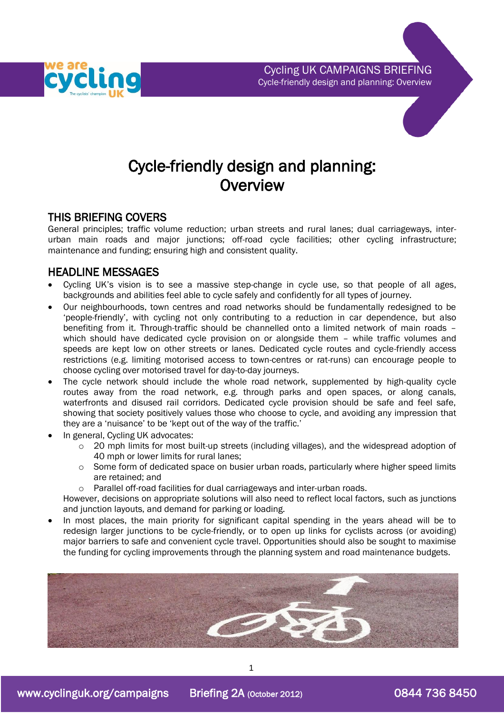



### THIS BRIEFING COVERS

General principles; traffic volume reduction; urban streets and rural lanes; dual carriageways, interurban main roads and major junctions; off-road cycle facilities; other cycling infrastructure; maintenance and funding; ensuring high and consistent quality.

## HEADLINE MESSAGES

- Cycling UK's vision is to see a massive step-change in cycle use, so that people of all ages, backgrounds and abilities feel able to cycle safely and confidently for all types of journey.
- Our neighbourhoods, town centres and road networks should be fundamentally redesigned to be 'people-friendly', with cycling not only contributing to a reduction in car dependence, but also benefiting from it. Through-traffic should be channelled onto a limited network of main roads – which should have dedicated cycle provision on or alongside them - while traffic volumes and speeds are kept low on other streets or lanes. Dedicated cycle routes and cycle-friendly access restrictions (e.g. limiting motorised access to town-centres or rat-runs) can encourage people to choose cycling over motorised travel for day-to-day journeys.
- The cycle network should include the whole road network, supplemented by high-quality cycle routes away from the road network, e.g. through parks and open spaces, or along canals, waterfronts and disused rail corridors. Dedicated cycle provision should be safe and feel safe, showing that society positively values those who choose to cycle, and avoiding any impression that they are a 'nuisance' to be 'kept out of the way of the traffic.'
- In general, Cycling UK advocates:
	- o 20 mph limits for most built-up streets (including villages), and the widespread adoption of 40 mph or lower limits for rural lanes;
	- o Some form of dedicated space on busier urban roads, particularly where higher speed limits are retained; and
	- o Parallel off-road facilities for dual carriageways and inter-urban roads.

However, decisions on appropriate solutions will also need to reflect local factors, such as junctions and junction layouts, and demand for parking or loading.

 In most places, the main priority for significant capital spending in the years ahead will be to redesign larger junctions to be cycle-friendly, or to open up links for cyclists across (or avoiding) major barriers to safe and convenient cycle travel. Opportunities should also be sought to maximise the funding for cycling improvements through the planning system and road maintenance budgets.



1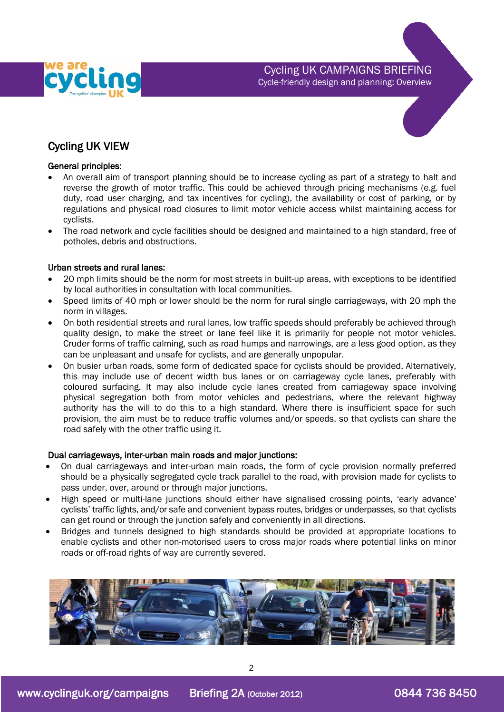

Cycling UK CAMPAIGNS BRIEFING Cycle-friendly design and planning: Overview

# Cycling UK VIEW

#### General principles:

- An overall aim of transport planning should be to increase cycling as part of a strategy to halt and reverse the growth of motor traffic. This could be achieved through pricing mechanisms (e.g. fuel duty, road user charging, and tax incentives for cycling), the availability or cost of parking, or by regulations and physical road closures to limit motor vehicle access whilst maintaining access for cyclists.
- The road network and cycle facilities should be designed and maintained to a high standard, free of potholes, debris and obstructions.

### Urban streets and rural lanes:

- 20 mph limits should be the norm for most streets in built-up areas, with exceptions to be identified by local authorities in consultation with local communities.
- Speed limits of 40 mph or lower should be the norm for rural single carriageways, with 20 mph the norm in villages.
- On both residential streets and rural lanes, low traffic speeds should preferably be achieved through quality design, to make the street or lane feel like it is primarily for people not motor vehicles. Cruder forms of traffic calming, such as road humps and narrowings, are a less good option, as they can be unpleasant and unsafe for cyclists, and are generally unpopular.
- On busier urban roads, some form of dedicated space for cyclists should be provided. Alternatively, this may include use of decent width bus lanes or on carriageway cycle lanes, preferably with coloured surfacing. It may also include cycle lanes created from carriageway space involving physical segregation both from motor vehicles and pedestrians, where the relevant highway authority has the will to do this to a high standard. Where there is insufficient space for such provision, the aim must be to reduce traffic volumes and/or speeds, so that cyclists can share the road safely with the other traffic using it.

#### Dual carriageways, inter-urban main roads and major junctions:

- On dual carriageways and inter-urban main roads, the form of cycle provision normally preferred should be a physically segregated cycle track parallel to the road, with provision made for cyclists to pass under, over, around or through major junctions.
- High speed or multi-lane junctions should either have signalised crossing points, 'early advance' cyclists' traffic lights, and/or safe and convenient bypass routes, bridges or underpasses, so that cyclists can get round or through the junction safely and conveniently in all directions.
- Bridges and tunnels designed to high standards should be provided at appropriate locations to enable cyclists and other non-motorised users to cross major roads where potential links on minor roads or off-road rights of way are currently severed.

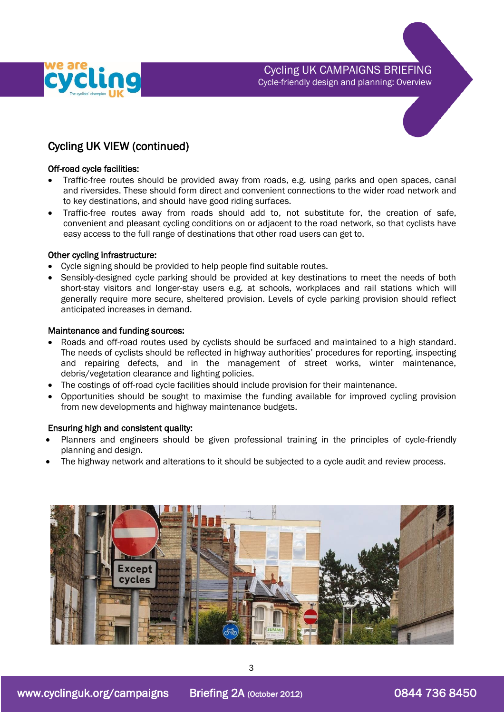



#### Off-road cycle facilities:

- Traffic-free routes should be provided away from roads, e.g. using parks and open spaces, canal and riversides. These should form direct and convenient connections to the wider road network and to key destinations, and should have good riding surfaces.
- Traffic-free routes away from roads should add to, not substitute for, the creation of safe, convenient and pleasant cycling conditions on or adjacent to the road network, so that cyclists have easy access to the full range of destinations that other road users can get to.

### Other cycling infrastructure:

- Cycle signing should be provided to help people find suitable routes.
- Sensibly-designed cycle parking should be provided at key destinations to meet the needs of both short-stay visitors and longer-stay users e.g. at schools, workplaces and rail stations which will generally require more secure, sheltered provision. Levels of cycle parking provision should reflect anticipated increases in demand.

#### Maintenance and funding sources:

- Roads and off-road routes used by cyclists should be surfaced and maintained to a high standard. The needs of cyclists should be reflected in highway authorities' procedures for reporting, inspecting and repairing defects, and in the management of street works, winter maintenance, debris/vegetation clearance and lighting policies.
- The costings of off-road cycle facilities should include provision for their maintenance.
- Opportunities should be sought to maximise the funding available for improved cycling provision from new developments and highway maintenance budgets.

#### Ensuring high and consistent quality:

- Planners and engineers should be given professional training in the principles of cycle-friendly planning and design.
- The highway network and alterations to it should be subjected to a cycle audit and review process.

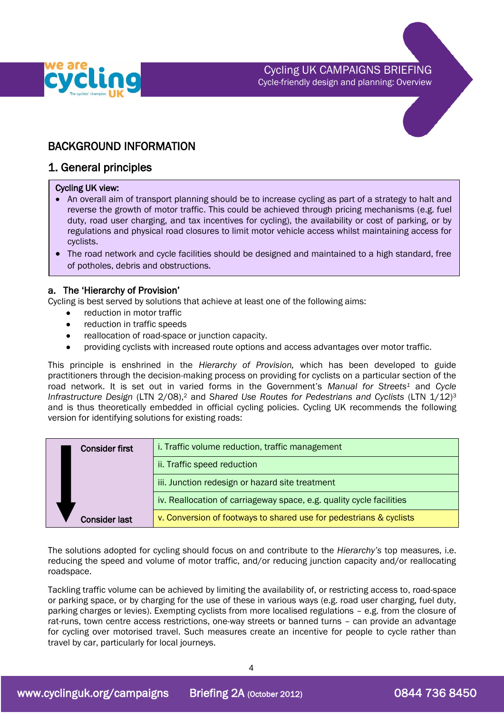

## BACKGROUND INFORMATION

### 1. General principles

#### Cycling UK view:

- An overall aim of transport planning should be to increase cycling as part of a strategy to halt and reverse the growth of motor traffic. This could be achieved through pricing mechanisms (e.g. fuel duty, road user charging, and tax incentives for cycling), the availability or cost of parking, or by regulations and physical road closures to limit motor vehicle access whilst maintaining access for cyclists.
- The road network and cycle facilities should be designed and maintained to a high standard, free of potholes, debris and obstructions.

### a. The 'Hierarchy of Provision'

Cycling is best served by solutions that achieve at least one of the following aims:

- reduction in motor traffic
- reduction in traffic speeds
- reallocation of road-space or junction capacity.
- <span id="page-3-0"></span>providing cyclists with increased route options and access advantages over motor traffic.

This principle is enshrined in the *Hierarchy of Provision,* which has been developed to guide practitioners through the decision-making process on providing for cyclists on a particular section of the road network. It is set out in varied forms in the Government's *Manual for Streets<sup>1</sup>* and *Cycle Infrastructure Design* (LTN 2/08),<sup>2</sup> and *Shared Use Routes for Pedestrians and Cyclists* (LTN 1/12)<sup>3</sup> and is thus theoretically embedded in official cycling policies. Cycling UK recommends the following version for identifying solutions for existing roads:

| <b>Consider first</b> | i. Traffic volume reduction, traffic management                      |
|-----------------------|----------------------------------------------------------------------|
|                       | ii. Traffic speed reduction                                          |
|                       | iii. Junction redesign or hazard site treatment                      |
|                       | iv. Reallocation of carriageway space, e.g. quality cycle facilities |
| <b>Consider last</b>  | v. Conversion of footways to shared use for pedestrians & cyclists   |

The solutions adopted for cycling should focus on and contribute to the *Hierarchy's* top measures, i.e. reducing the speed and volume of motor traffic, and/or reducing junction capacity and/or reallocating roadspace.

Tackling traffic volume can be achieved by limiting the availability of, or restricting access to, road-space or parking space, or by charging for the use of these in various ways (e.g. road user charging, fuel duty, parking charges or levies). Exempting cyclists from more localised regulations – e.g. from the closure of rat-runs, town centre access restrictions, one-way streets or banned turns – can provide an advantage for cycling over motorised travel. Such measures create an incentive for people to cycle rather than travel by car, particularly for local journeys.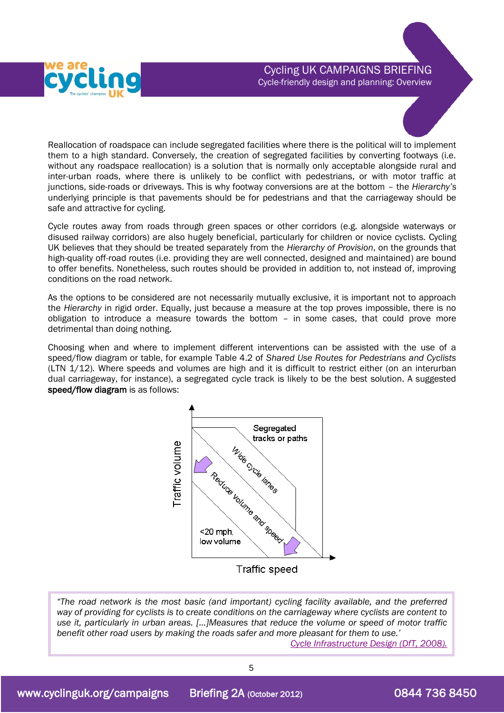

Reallocation of roadspace can include segregated facilities where there is the political will to implement them to a high standard. Conversely, the creation of segregated facilities by converting footways (i.e. without any roadspace reallocation) is a solution that is normally only acceptable alongside rural and inter-urban roads, where there is unlikely to be conflict with pedestrians, or with motor traffic at junctions, side-roads or driveways. This is why footway conversions are at the bottom – the *Hierarchy's* underlying principle is that pavements should be for pedestrians and that the carriageway should be safe and attractive for cycling.

Cycle routes away from roads through green spaces or other corridors (e.g. alongside waterways or disused railway corridors) are also hugely beneficial, particularly for children or novice cyclists. Cycling UK believes that they should be treated separately from the *Hierarchy of Provision*, on the grounds that high-quality off-road routes (i.e. providing they are well connected, designed and maintained) are bound to offer benefits. Nonetheless, such routes should be provided in addition to, not instead of, improving conditions on the road network.

As the options to be considered are not necessarily mutually exclusive, it is important not to approach the *Hierarchy* in rigid order. Equally, just because a measure at the top proves impossible, there is no obligation to introduce a measure towards the bottom – in some cases, that could prove more detrimental than doing nothing.

Choosing when and where to implement different interventions can be assisted with the use of a speed/flow diagram or table, for example Table 4.2 of *Shared Use Routes for Pedestrians and Cyclists*  (LTN 1/12)*.* Where speeds and volumes are high and it is difficult to restrict either (on an interurban dual carriageway, for instance), a segregated cycle track is likely to be the best solution. A suggested speed/flow diagram is as follows:



*"The road network is the most basic (and important) cycling facility available, and the preferred way of providing for cyclists is to create conditions on the carriageway where cyclists are content to use it, particularly in urban areas. […]Measures that reduce the volume or speed of motor traffic benefit other road users by making the roads safer and more pleasant for them to use.'* 

*Cycle Infrastructure Design (DfT, 2008).*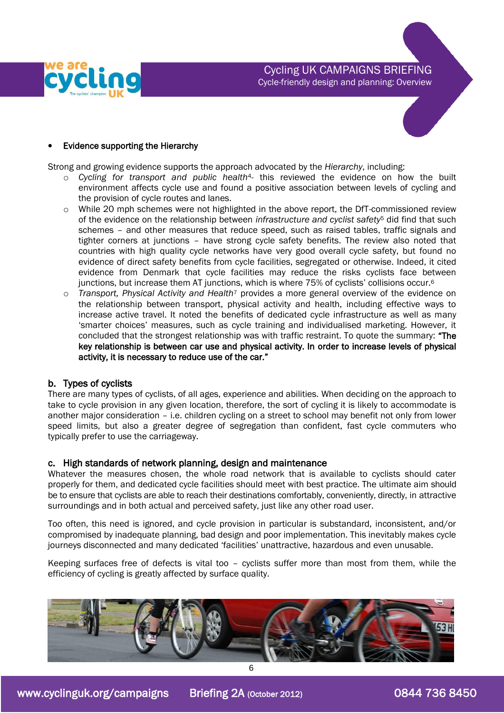



Strong and growing evidence supports the approach advocated by the *Hierarchy*, including:

- o *Cycling for transport and public health*4*-* this reviewed the evidence on how the built environment affects cycle use and found a positive association between levels of cycling and the provision of cycle routes and lanes.
- $\circ$  While 20 mph schemes were not highlighted in the above report, the DfT-commissioned review of the evidence on the relationship between *infrastructure and cyclist safety*<sup>5</sup> did find that such schemes – and other measures that reduce speed, such as raised tables, traffic signals and tighter corners at junctions – have strong cycle safety benefits. The review also noted that countries with high quality cycle networks have very good overall cycle safety, but found no evidence of direct safety benefits from cycle facilities, segregated or otherwise. Indeed, it cited evidence from Denmark that cycle facilities may reduce the risks cyclists face between junctions, but increase them AT junctions, which is where 75% of cyclists' collisions occur.<sup>6</sup>
- o *Transport, Physical Activity and Health*<sup>7</sup> provides a more general overview of the evidence on the relationship between transport, physical activity and health, including effective ways to increase active travel. It noted the benefits of dedicated cycle infrastructure as well as many 'smarter choices' measures, such as cycle training and individualised marketing. However, it concluded that the strongest relationship was with traffic restraint. To quote the summary: "The key relationship is between car use and physical activity. In order to increase levels of physical activity, it is necessary to reduce use of the car."

### b. Types of cyclists

There are many types of cyclists, of all ages, experience and abilities. When deciding on the approach to take to cycle provision in any given location, therefore, the sort of cycling it is likely to accommodate is another major consideration – i.e. children cycling on a street to school may benefit not only from lower speed limits, but also a greater degree of segregation than confident, fast cycle commuters who typically prefer to use the carriageway.

#### c. High standards of network planning, design and maintenance

Whatever the measures chosen, the whole road network that is available to cyclists should cater properly for them, and dedicated cycle facilities should meet with best practice. The ultimate aim should be to ensure that cyclists are able to reach their destinations comfortably, conveniently, directly, in attractive surroundings and in both actual and perceived safety, just like any other road user.

Too often, this need is ignored, and cycle provision in particular is substandard, inconsistent, and/or compromised by inadequate planning, bad design and poor implementation. This inevitably makes cycle journeys disconnected and many dedicated 'facilities' unattractive, hazardous and even unusable.

Keeping surfaces free of defects is vital too – cyclists suffer more than most from them, while the efficiency of cycling is greatly affected by surface quality.

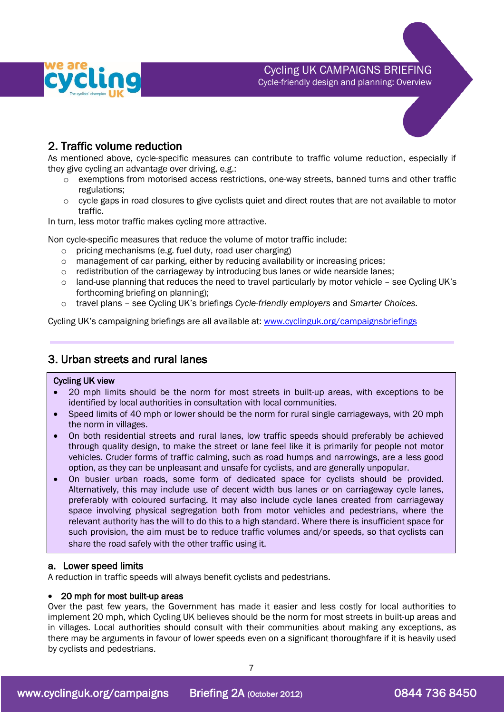



# 2. Traffic volume reduction

As mentioned above, cycle-specific measures can contribute to traffic volume reduction, especially if they give cycling an advantage over driving, e.g.:

- o exemptions from motorised access restrictions, one-way streets, banned turns and other traffic regulations;
- $\circ$  cycle gaps in road closures to give cyclists quiet and direct routes that are not available to motor traffic.

In turn, less motor traffic makes cycling more attractive.

Non cycle-specific measures that reduce the volume of motor traffic include:

- o pricing mechanisms (e.g. fuel duty, road user charging)
- $\circ$  management of car parking, either by reducing availability or increasing prices;
- $\circ$  redistribution of the carriageway by introducing bus lanes or wide nearside lanes;
- $\circ$  land-use planning that reduces the need to travel particularly by motor vehicle see Cycling UK's forthcoming briefing on planning);
- o travel plans see Cycling UK's briefings *Cycle-friendly employers* and *Smarter Choices.*

Cycling UK's campaigning briefings are all available at: [www.cyclinguk.org/campaignsbriefings](http://www.ctc.org.uk/campaignsbriefings)

## 3. Urban streets and rural lanes

#### Cycling UK view

 $\overline{a}$ 

- 20 mph limits should be the norm for most streets in built-up areas, with exceptions to be identified by local authorities in consultation with local communities.
- Speed limits of 40 mph or lower should be the norm for rural single carriageways, with 20 mph the norm in villages.
- On both residential streets and rural lanes, low traffic speeds should preferably be achieved through quality design, to make the street or lane feel like it is primarily for people not motor vehicles. Cruder forms of traffic calming, such as road humps and narrowings, are a less good option, as they can be unpleasant and unsafe for cyclists, and are generally unpopular.
- On busier urban roads, some form of dedicated space for cyclists should be provided. Alternatively, this may include use of decent width bus lanes or on carriageway cycle lanes, preferably with coloured surfacing. It may also include cycle lanes created from carriageway space involving physical segregation both from motor vehicles and pedestrians, where the relevant authority has the will to do this to a high standard. Where there is insufficient space for such provision, the aim must be to reduce traffic volumes and/or speeds, so that cyclists can share the road safely with the other traffic using it.

#### a. Lower speed limits

A reduction in traffic speeds will always benefit cyclists and pedestrians.

#### 20 mph for most built-up areas

Over the past few years, the Government has made it easier and less costly for local authorities to implement 20 mph, which Cycling UK believes should be the norm for most streets in built-up areas and in villages. Local authorities should consult with their communities about making any exceptions, as there may be arguments in favour of lower speeds even on a significant thoroughfare if it is heavily used by cyclists and pedestrians.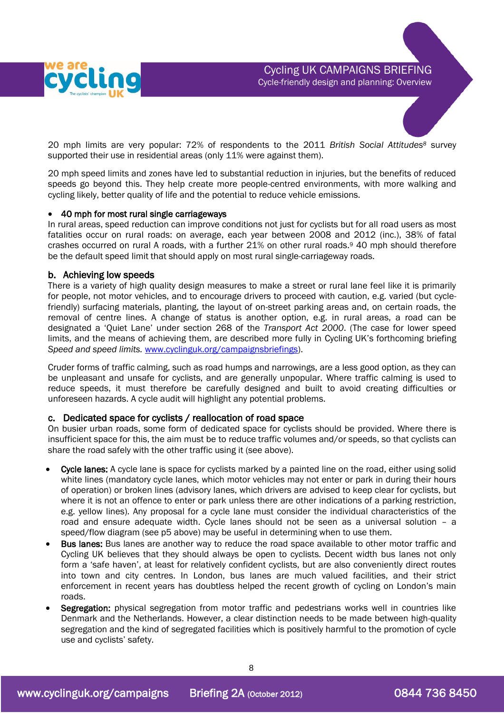

20 mph limits are very popular: 72% of respondents to the 2011 *British Social Attitudes<sup>8</sup>* survey supported their use in residential areas (only 11% were against them).

20 mph speed limits and zones have led to substantial reduction in injuries, but the benefits of reduced speeds go beyond this. They help create more people-centred environments, with more walking and cycling likely, better quality of life and the potential to reduce vehicle emissions.

#### 40 mph for most rural single carriageways

In rural areas, speed reduction can improve conditions not just for cyclists but for all road users as most fatalities occur on rural roads: on average, each year between 2008 and 2012 (inc.), 38% of fatal crashes occurred on rural A roads, with a further 21% on other rural roads.<sup>9</sup> 40 mph should therefore be the default speed limit that should apply on most rural single-carriageway roads.

#### b. Achieving low speeds

There is a variety of high quality design measures to make a street or rural lane feel like it is primarily for people, not motor vehicles, and to encourage drivers to proceed with caution, e.g. varied (but cyclefriendly) surfacing materials, planting, the layout of on-street parking areas and, on certain roads, the removal of centre lines. A change of status is another option, e.g. in rural areas, a road can be designated a 'Quiet Lane' under section 268 of the *Transport Act 2000*. (The case for lower speed limits, and the means of achieving them, are described more fully in Cycling UK's forthcoming briefing *Speed and speed limits.* [www.cyclinguk.org/campaignsbriefings\)](http://www.ctc.org.uk/campaignsbriefings).

Cruder forms of traffic calming, such as road humps and narrowings, are a less good option, as they can be unpleasant and unsafe for cyclists, and are generally unpopular. Where traffic calming is used to reduce speeds, it must therefore be carefully designed and built to avoid creating difficulties or unforeseen hazards. A cycle audit will highlight any potential problems.

#### c. Dedicated space for cyclists / reallocation of road space

On busier urban roads, some form of dedicated space for cyclists should be provided. Where there is insufficient space for this, the aim must be to reduce traffic volumes and/or speeds, so that cyclists can share the road safely with the other traffic using it (see above).

- Cycle lanes: A cycle lane is space for cyclists marked by a painted line on the road, either using solid white lines (mandatory cycle lanes, which motor vehicles may not enter or park in during their hours of operation) or broken lines (advisory lanes, which drivers are advised to keep clear for cyclists, but where it is not an offence to enter or park unless there are other indications of a parking restriction, e.g. yellow lines). Any proposal for a cycle lane must consider the individual characteristics of the road and ensure adequate width. Cycle lanes should not be seen as a universal solution – a speed/flow diagram (see p5 above) may be useful in determining when to use them.
- Bus lanes: Bus lanes are another way to reduce the road space available to other motor traffic and Cycling UK believes that they should always be open to cyclists. Decent width bus lanes not only form a 'safe haven', at least for relatively confident cyclists, but are also conveniently direct routes into town and city centres. In London, bus lanes are much valued facilities, and their strict enforcement in recent years has doubtless helped the recent growth of cycling on London's main roads.
- Segregation: physical segregation from motor traffic and pedestrians works well in countries like Denmark and the Netherlands. However, a clear distinction needs to be made between high-quality segregation and the kind of segregated facilities which is positively harmful to the promotion of cycle use and cyclists' safety.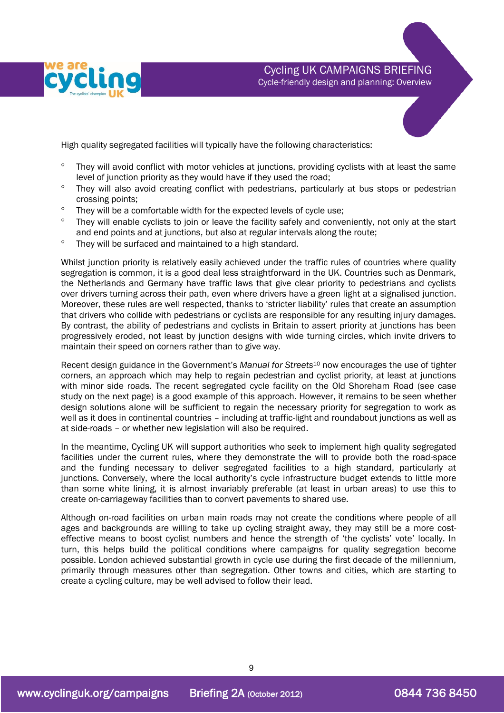

High quality segregated facilities will typically have the following characteristics:

- They will avoid conflict with motor vehicles at junctions, providing cyclists with at least the same level of junction priority as they would have if they used the road;
- ° They will also avoid creating conflict with pedestrians, particularly at bus stops or pedestrian crossing points;
- $\degree$  They will be a comfortable width for the expected levels of cycle use;
- <sup>o</sup> They will enable cyclists to join or leave the facility safely and conveniently, not only at the start and end points and at junctions, but also at regular intervals along the route;
- <sup>o</sup> They will be surfaced and maintained to a high standard.

Whilst junction priority is relatively easily achieved under the traffic rules of countries where quality segregation is common, it is a good deal less straightforward in the UK. Countries such as Denmark, the Netherlands and Germany have traffic laws that give clear priority to pedestrians and cyclists over drivers turning across their path, even where drivers have a green light at a signalised junction. Moreover, these rules are well respected, thanks to 'stricter liability' rules that create an assumption that drivers who collide with pedestrians or cyclists are responsible for any resulting injury damages. By contrast, the ability of pedestrians and cyclists in Britain to assert priority at junctions has been progressively eroded, not least by junction designs with wide turning circles, which invite drivers to maintain their speed on corners rather than to give way.

Recent design guidance in the Government's *Manual for Streets*<sup>10</sup> now encourages the use of tighter corners, an approach which may help to regain pedestrian and cyclist priority, at least at junctions with minor side roads. The recent segregated cycle facility on the Old Shoreham Road (see case study on the next page) is a good example of this approach. However, it remains to be seen whether design solutions alone will be sufficient to regain the necessary priority for segregation to work as well as it does in continental countries – including at traffic-light and roundabout junctions as well as at side-roads – or whether new legislation will also be required.

In the meantime, Cycling UK will support authorities who seek to implement high quality segregated facilities under the current rules, where they demonstrate the will to provide both the road-space and the funding necessary to deliver segregated facilities to a high standard, particularly at junctions. Conversely, where the local authority's cycle infrastructure budget extends to little more than some white lining, it is almost invariably preferable (at least in urban areas) to use this to create on-carriageway facilities than to convert pavements to shared use.

Although on-road facilities on urban main roads may not create the conditions where people of all ages and backgrounds are willing to take up cycling straight away, they may still be a more costeffective means to boost cyclist numbers and hence the strength of 'the cyclists' vote' locally. In turn, this helps build the political conditions where campaigns for quality segregation become possible. London achieved substantial growth in cycle use during the first decade of the millennium, primarily through measures other than segregation. Other towns and cities, which are starting to create a cycling culture, may be well advised to follow their lead.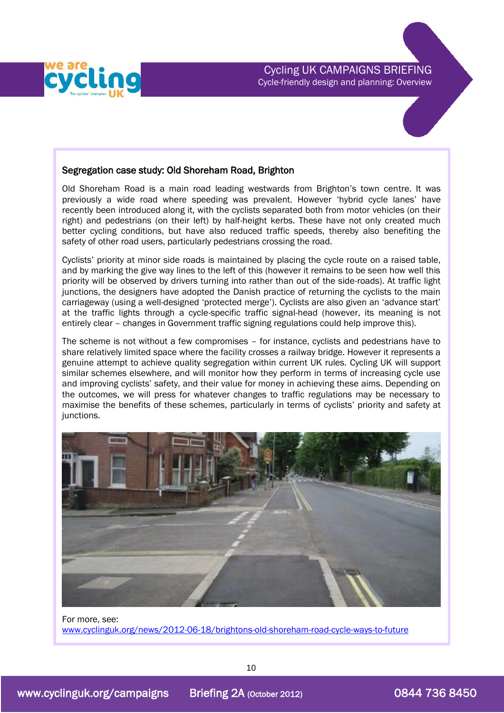### Segregation case study: Old Shoreham Road, Brighton

Old Shoreham Road is a main road leading westwards from Brighton's town centre. It was previously a wide road where speeding was prevalent. However 'hybrid cycle lanes' have recently been introduced along it, with the cyclists separated both from motor vehicles (on their right) and pedestrians (on their left) by half-height kerbs. These have not only created much better cycling conditions, but have also reduced traffic speeds, thereby also benefiting the safety of other road users, particularly pedestrians crossing the road.

Cyclists' priority at minor side roads is maintained by placing the cycle route on a raised table, and by marking the give way lines to the left of this (however it remains to be seen how well this priority will be observed by drivers turning into rather than out of the side-roads). At traffic light junctions, the designers have adopted the Danish practice of returning the cyclists to the main carriageway (using a well-designed 'protected merge'). Cyclists are also given an 'advance start' at the traffic lights through a cycle-specific traffic signal-head (however, its meaning is not entirely clear – changes in Government traffic signing regulations could help improve this).

The scheme is not without a few compromises – for instance, cyclists and pedestrians have to share relatively limited space where the facility crosses a railway bridge. However it represents a genuine attempt to achieve quality segregation within current UK rules. Cycling UK will support similar schemes elsewhere, and will monitor how they perform in terms of increasing cycle use and improving cyclists' safety, and their value for money in achieving these aims. Depending on the outcomes, we will press for whatever changes to traffic regulations may be necessary to maximise the benefits of these schemes, particularly in terms of cyclists' priority and safety at junctions.



For more, see: [www.cyclinguk.org/news/2012-06-18/brightons-old-shoreham-road-cycle-ways-to-future](http://www.ctc.org.uk/news/2012-06-18/brightons-old-shoreham-road-cycle-ways-to-future)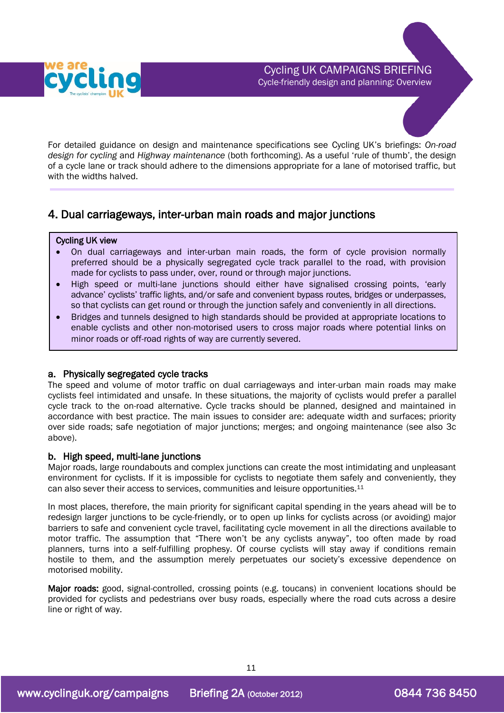



## 4. Dual carriageways, inter-urban main roads and major junctions

#### Cycling UK view

I

- On dual carriageways and inter-urban main roads, the form of cycle provision normally preferred should be a physically segregated cycle track parallel to the road, with provision made for cyclists to pass under, over, round or through major junctions.
- High speed or multi-lane junctions should either have signalised crossing points, 'early advance' cyclists' traffic lights, and/or safe and convenient bypass routes, bridges or underpasses, so that cyclists can get round or through the junction safely and conveniently in all directions.
- Bridges and tunnels designed to high standards should be provided at appropriate locations to enable cyclists and other non-motorised users to cross major roads where potential links on minor roads or off-road rights of way are currently severed.

#### a. Physically segregated cycle tracks

The speed and volume of motor traffic on dual carriageways and inter-urban main roads may make cyclists feel intimidated and unsafe. In these situations, the majority of cyclists would prefer a parallel cycle track to the on-road alternative. Cycle tracks should be planned, designed and maintained in accordance with best practice. The main issues to consider are: adequate width and surfaces; priority over side roads; safe negotiation of major junctions; merges; and ongoing maintenance (see also 3c above).

### b. High speed, multi-lane junctions

Major roads, large roundabouts and complex junctions can create the most intimidating and unpleasant environment for cyclists. If it is impossible for cyclists to negotiate them safely and conveniently, they can also sever their access to services, communities and leisure opportunities.<sup>11</sup>

In most places, therefore, the main priority for significant capital spending in the years ahead will be to redesign larger junctions to be cycle-friendly, or to open up links for cyclists across (or avoiding) major barriers to safe and convenient cycle travel, facilitating cycle movement in all the directions available to motor traffic. The assumption that "There won't be any cyclists anyway", too often made by road planners, turns into a self-fulfilling prophesy. Of course cyclists will stay away if conditions remain hostile to them, and the assumption merely perpetuates our society's excessive dependence on motorised mobility.

Major roads: good, signal-controlled, crossing points (e.g. toucans) in convenient locations should be provided for cyclists and pedestrians over busy roads, especially where the road cuts across a desire line or right of way.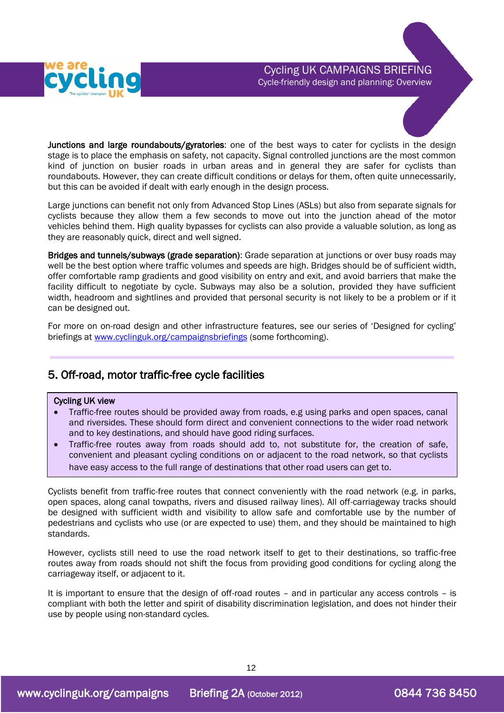

Junctions and large roundabouts/gyratories: one of the best ways to cater for cyclists in the design stage is to place the emphasis on safety, not capacity. Signal controlled junctions are the most common kind of junction on busier roads in urban areas and in general they are safer for cyclists than roundabouts. However, they can create difficult conditions or delays for them, often quite unnecessarily, but this can be avoided if dealt with early enough in the design process.

Large junctions can benefit not only from Advanced Stop Lines (ASLs) but also from separate signals for cyclists because they allow them a few seconds to move out into the junction ahead of the motor vehicles behind them. High quality bypasses for cyclists can also provide a valuable solution, as long as they are reasonably quick, direct and well signed.

Bridges and tunnels/subways (grade separation): Grade separation at junctions or over busy roads may well be the best option where traffic volumes and speeds are high. Bridges should be of sufficient width, offer comfortable ramp gradients and good visibility on entry and exit, and avoid barriers that make the facility difficult to negotiate by cycle. Subways may also be a solution, provided they have sufficient width, headroom and sightlines and provided that personal security is not likely to be a problem or if it can be designed out.

For more on on-road design and other infrastructure features, see our series of 'Designed for cycling' briefings at [www.cyclinguk.org/campaignsbriefings](http://www.ctc.org.uk/campaignsbriefings) (some forthcoming).

## 5. Off-road, motor traffic-free cycle facilities

#### Cycling UK view

- Traffic-free routes should be provided away from roads, e.g using parks and open spaces, canal and riversides. These should form direct and convenient connections to the wider road network and to key destinations, and should have good riding surfaces.
- Traffic-free routes away from roads should add to, not substitute for, the creation of safe, convenient and pleasant cycling conditions on or adjacent to the road network, so that cyclists have easy access to the full range of destinations that other road users can get to.

Cyclists benefit from traffic-free routes that connect conveniently with the road network (e.g. in parks, open spaces, along canal towpaths, rivers and disused railway lines). All off-carriageway tracks should be designed with sufficient width and visibility to allow safe and comfortable use by the number of pedestrians and cyclists who use (or are expected to use) them, and they should be maintained to high standards.

However, cyclists still need to use the road network itself to get to their destinations, so traffic-free routes away from roads should not shift the focus from providing good conditions for cycling along the carriageway itself, or adjacent to it.

It is important to ensure that the design of off-road routes – and in particular any access controls – is compliant with both the letter and spirit of disability discrimination legislation, and does not hinder their use by people using non-standard cycles.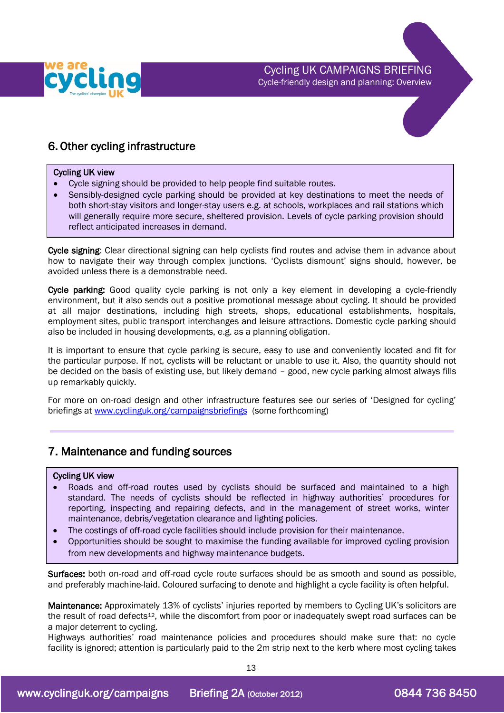

## 6. Other cycling infrastructure

#### Cycling UK view

- Cycle signing should be provided to help people find suitable routes.
- Sensibly-designed cycle parking should be provided at key destinations to meet the needs of both short-stay visitors and longer-stay users e.g. at schools, workplaces and rail stations which will generally require more secure, sheltered provision. Levels of cycle parking provision should reflect anticipated increases in demand.

Cycle signing: Clear directional signing can help cyclists find routes and advise them in advance about how to navigate their way through complex junctions. 'Cyclists dismount' signs should, however, be avoided unless there is a demonstrable need.

Cycle parking: Good quality cycle parking is not only a key element in developing a cycle-friendly environment, but it also sends out a positive promotional message about cycling. It should be provided at all major destinations, including high streets, shops, educational establishments, hospitals, employment sites, public transport interchanges and leisure attractions. Domestic cycle parking should also be included in housing developments, e.g. as a planning obligation.

It is important to ensure that cycle parking is secure, easy to use and conveniently located and fit for the particular purpose. If not, cyclists will be reluctant or unable to use it. Also, the quantity should not be decided on the basis of existing use, but likely demand – good, new cycle parking almost always fills up remarkably quickly.

For more on on-road design and other infrastructure features see our series of 'Designed for cycling' briefings at [www.cyclinguk.org/campaignsbriefings](http://www.ctc.org.uk/campaignsbriefings) (some forthcoming)

### 7. Maintenance and funding sources

#### Cycling UK view

- Roads and off-road routes used by cyclists should be surfaced and maintained to a high standard. The needs of cyclists should be reflected in highway authorities' procedures for reporting, inspecting and repairing defects, and in the management of street works, winter maintenance, debris/vegetation clearance and lighting policies.
- The costings of off-road cycle facilities should include provision for their maintenance.
- Opportunities should be sought to maximise the funding available for improved cycling provision from new developments and highway maintenance budgets.

Surfaces: both on-road and off-road cycle route surfaces should be as smooth and sound as possible, and preferably machine-laid. Coloured surfacing to denote and highlight a cycle facility is often helpful.

Maintenance: Approximately 13% of cyclists' injuries reported by members to Cycling UK's solicitors are the result of road defects<sup>12</sup>, while the discomfort from poor or inadequately swept road surfaces can be a major deterrent to cycling.

Highways authorities' road maintenance policies and procedures should make sure that: no cycle facility is ignored; attention is particularly paid to the 2m strip next to the kerb where most cycling takes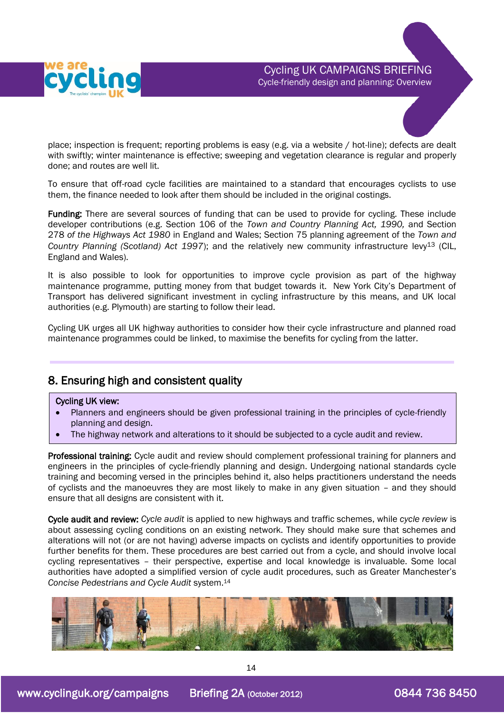

place; inspection is frequent; reporting problems is easy (e.g. via a website / hot-line); defects are dealt with swiftly; winter maintenance is effective; sweeping and vegetation clearance is regular and properly done; and routes are well lit.

To ensure that off-road cycle facilities are maintained to a standard that encourages cyclists to use them, the finance needed to look after them should be included in the original costings.

Funding: There are several sources of funding that can be used to provide for cycling. These include developer contributions (e.g. Section 106 of the *Town and Country Planning Act, 1990,* and Section 278 *of the Highways Act 1980* in England and Wales; Section 75 planning agreement of the *Town and*  Country Planning (Scotland) Act 1997); and the relatively new community infrastructure levy<sup>13</sup> (CIL, England and Wales).

It is also possible to look for opportunities to improve cycle provision as part of the highway maintenance programme, putting money from that budget towards it. New York City's Department of Transport has delivered significant investment in cycling infrastructure by this means, and UK local authorities (e.g. Plymouth) are starting to follow their lead.

Cycling UK urges all UK highway authorities to consider how their cycle infrastructure and planned road maintenance programmes could be linked, to maximise the benefits for cycling from the latter.

## 8. Ensuring high and consistent quality

#### Cycling UK view:

ľ

- Planners and engineers should be given professional training in the principles of cycle-friendly planning and design.
- The highway network and alterations to it should be subjected to a cycle audit and review.

Professional training: Cycle audit and review should complement professional training for planners and engineers in the principles of cycle-friendly planning and design. Undergoing national standards cycle training and becoming versed in the principles behind it, also helps practitioners understand the needs of cyclists and the manoeuvres they are most likely to make in any given situation – and they should ensure that all designs are consistent with it.

Cycle audit and review: *Cycle audit* is applied to new highways and traffic schemes, while *cycle review* is about assessing cycling conditions on an existing network. They should make sure that schemes and alterations will not (or are not having) adverse impacts on cyclists and identify opportunities to provide further benefits for them. These procedures are best carried out from a cycle, and should involve local cycling representatives – their perspective, expertise and local knowledge is invaluable. Some local authorities have adopted a simplified version of cycle audit procedures, such as Greater Manchester's *Concise Pedestrians and Cycle Audit* system.<sup>14</sup>